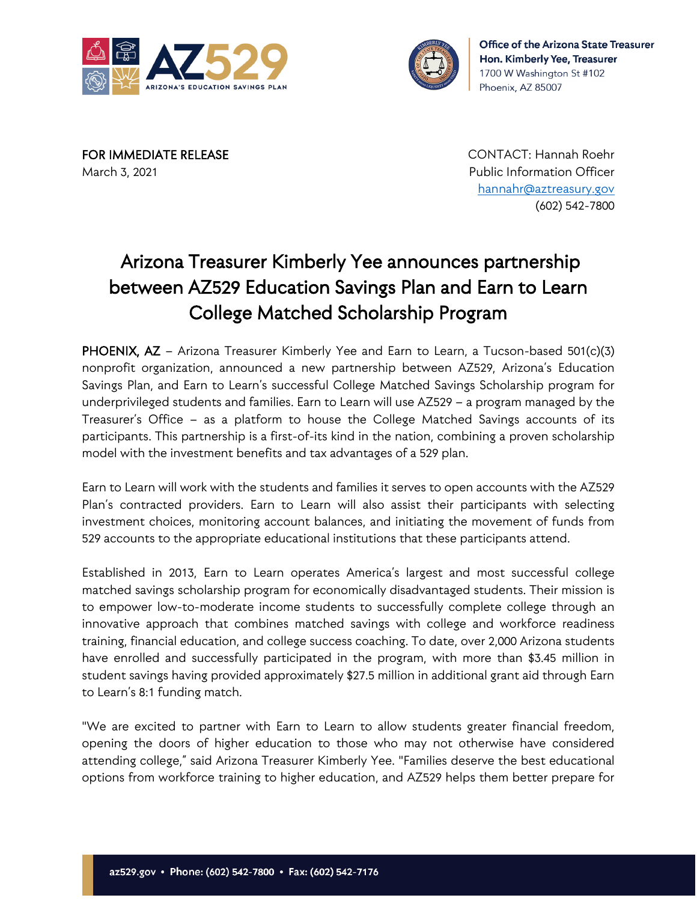



March 3, 2021 Public Information Officer

FOR IMMEDIATE RELEASE CONTACT: Hannah Roehr [hannahr@aztreasury.gov](mailto:hannahr@aztreasury.gov) (602) 542-7800

## Arizona Treasurer Kimberly Yee announces partnership between AZ529 Education Savings Plan and Earn to Learn College Matched Scholarship Program

PHOENIX, AZ - Arizona Treasurer Kimberly Yee and Earn to Learn, a Tucson-based 501(c)(3) nonprofit organization, announced a new partnership between AZ529, Arizona's Education Savings Plan, and Earn to Learn's successful College Matched Savings Scholarship program for underprivileged students and families. Earn to Learn will use AZ529 – a program managed by the Treasurer's Office – as a platform to house the College Matched Savings accounts of its participants. This partnership is a first-of-its kind in the nation, combining a proven scholarship model with the investment benefits and tax advantages of a 529 plan.

Earn to Learn will work with the students and families it serves to open accounts with the AZ529 Plan's contracted providers. Earn to Learn will also assist their participants with selecting investment choices, monitoring account balances, and initiating the movement of funds from 529 accounts to the appropriate educational institutions that these participants attend.

Established in 2013, Earn to Learn operates America's largest and most successful college matched savings scholarship program for economically disadvantaged students. Their mission is to empower low-to-moderate income students to successfully complete college through an innovative approach that combines matched savings with college and workforce readiness training, financial education, and college success coaching. To date, over 2,000 Arizona students have enrolled and successfully participated in the program, with more than \$3.45 million in student savings having provided approximately \$27.5 million in additional grant aid through Earn to Learn's 8:1 funding match.

"We are excited to partner with Earn to Learn to allow students greater financial freedom, opening the doors of higher education to those who may not otherwise have considered attending college," said Arizona Treasurer Kimberly Yee. "Families deserve the best educational options from workforce training to higher education, and AZ529 helps them better prepare for